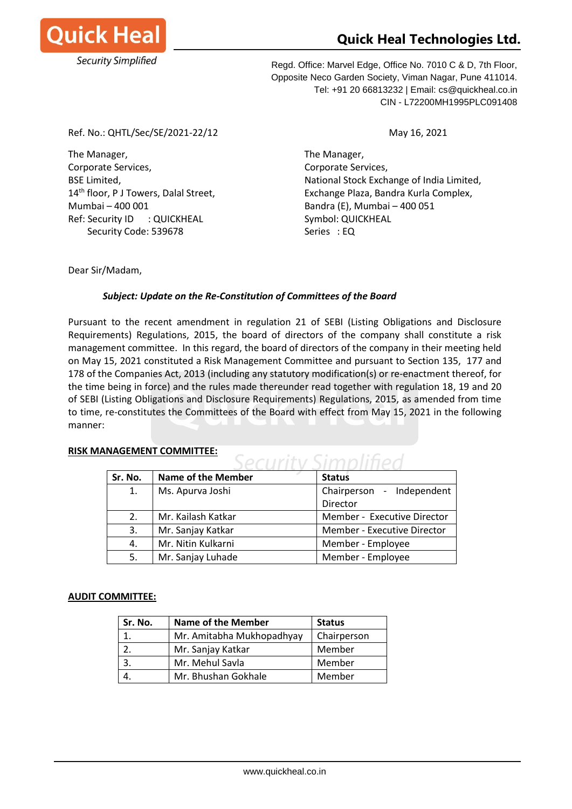

# **Quick Heal Technologies Ltd.**

Regd. Office: Marvel Edge, Office No. 7010 C & D, 7th Floor, Opposite Neco Garden Society, Viman Nagar, Pune 411014. Tel: +91 20 66813232 | Email: cs@quickheal.co.in CIN - L72200MH1995PLC091408

Ref. No.: QHTL/Sec/SE/2021-22/12 May 16, 2021

The Manager, The Manager, Corporate Services, Corporate Services, Mumbai – 400 001 Bandra (E), Mumbai – 400 051 Ref: Security ID : QUICKHEAL Symbol: QUICKHEAL Security Code: 539678 Security Code: 539678

BSE Limited, The Communist Communist Communist Communist Communist Communist Communist Communist Communist Communist Communist Communist Communist Communist Communist Communist Communist Communist Communist Communist Commu 14<sup>th</sup> floor, P J Towers, Dalal Street, Exchange Plaza, Bandra Kurla Complex,

 $\sim$   $\mathbb{R}$   $\mathbb{R}$   $\sim$   $\mathbb{R}$ 

Dear Sir/Madam,

# *Subject: Update on the Re-Constitution of Committees of the Board*

Pursuant to the recent amendment in regulation 21 of SEBI (Listing Obligations and Disclosure Requirements) Regulations, 2015, the board of directors of the company shall constitute a risk management committee. In this regard, the board of directors of the company in their meeting held on May 15, 2021 constituted a Risk Management Committee and pursuant to Section 135, 177 and 178 of the Companies Act, 2013 (including any statutory modification(s) or re-enactment thereof, for the time being in force) and the rules made thereunder read together with regulation 18, 19 and 20 of SEBI (Listing Obligations and Disclosure Requirements) Regulations, 2015, as amended from time to time, re-constitutes the Committees of the Board with effect from May 15, 2021 in the following manner:

| Sr. No. | <b>Name of the Member</b> | <b>Status</b>               |
|---------|---------------------------|-----------------------------|
| 1.      | Ms. Apurva Joshi          | Chairperson - Independent   |
|         |                           | Director                    |
| 2.      | Mr. Kailash Katkar        | Member - Executive Director |
| 3.      | Mr. Sanjay Katkar         | Member - Executive Director |
| 4.      | Mr. Nitin Kulkarni        | Member - Employee           |
| 5.      | Mr. Sanjay Luhade         | Member - Employee           |

## **RISK MANAGEMENT COMMITTEE:**

## **AUDIT COMMITTEE:**

| Sr. No. | <b>Name of the Member</b> | <b>Status</b> |
|---------|---------------------------|---------------|
|         | Mr. Amitabha Mukhopadhyay | Chairperson   |
|         | Mr. Sanjay Katkar         | Member        |
|         | Mr. Mehul Savla           | Member        |
|         | Mr. Bhushan Gokhale       | Member        |